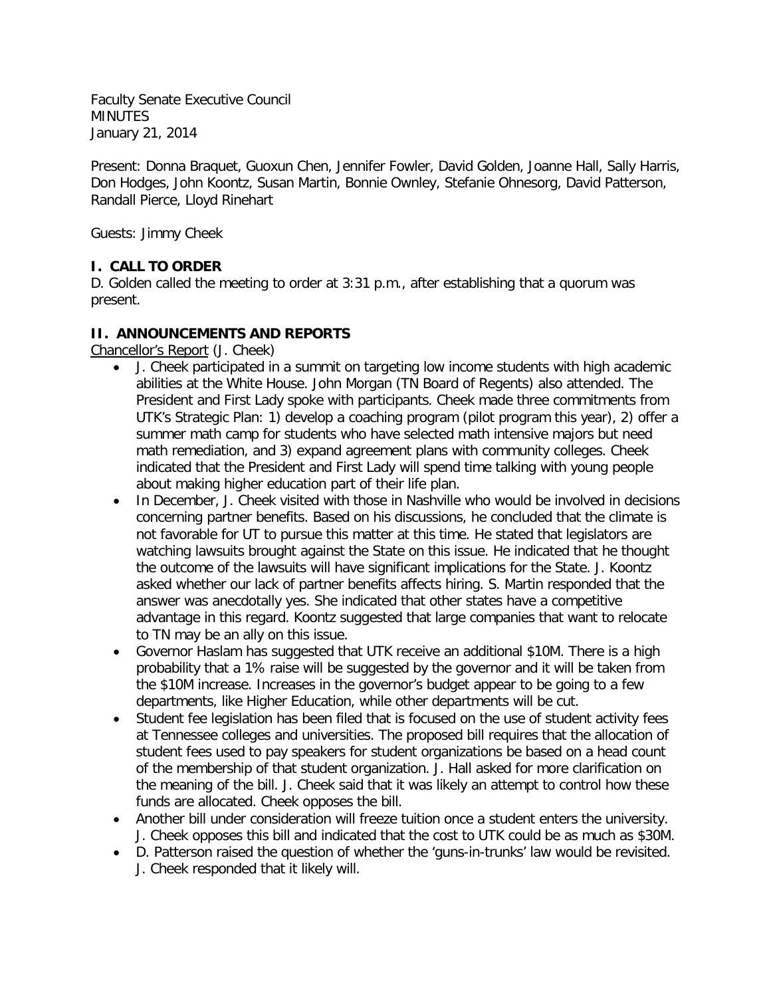Faculty Senate Executive Council **MINUTES** January 21, 2014

Present: Donna Braquet, Guoxun Chen, Jennifer Fowler, David Golden, Joanne Hall, Sally Harris, Don Hodges, John Koontz, Susan Martin, Bonnie Ownley, Stefanie Ohnesorg, David Patterson, Randall Pierce, Lloyd Rinehart

Guests: Jimmy Cheek

# **I. CALL TO ORDER**

D. Golden called the meeting to order at 3:31 p.m., after establishing that a quorum was present.

### **II. ANNOUNCEMENTS AND REPORTS**

Chancellor's Report (J. Cheek)

- J. Cheek participated in a summit on targeting low income students with high academic abilities at the White House. John Morgan (TN Board of Regents) also attended. The President and First Lady spoke with participants. Cheek made three commitments from UTK's Strategic Plan: 1) develop a coaching program (pilot program this year), 2) offer a summer math camp for students who have selected math intensive majors but need math remediation, and 3) expand agreement plans with community colleges. Cheek indicated that the President and First Lady will spend time talking with young people about making higher education part of their life plan.
- In December, J. Cheek visited with those in Nashville who would be involved in decisions concerning partner benefits. Based on his discussions, he concluded that the climate is not favorable for UT to pursue this matter at this time. He stated that legislators are watching lawsuits brought against the State on this issue. He indicated that he thought the outcome of the lawsuits will have significant implications for the State. J. Koontz asked whether our lack of partner benefits affects hiring. S. Martin responded that the answer was anecdotally yes. She indicated that other states have a competitive advantage in this regard. Koontz suggested that large companies that want to relocate to TN may be an ally on this issue.
- Governor Haslam has suggested that UTK receive an additional \$10M. There is a high probability that a 1% raise will be suggested by the governor and it will be taken from the \$10M increase. Increases in the governor's budget appear to be going to a few departments, like Higher Education, while other departments will be cut.
- Student fee legislation has been filed that is focused on the use of student activity fees at Tennessee colleges and universities. The proposed bill requires that the allocation of student fees used to pay speakers for student organizations be based on a head count of the membership of that student organization. J. Hall asked for more clarification on the meaning of the bill. J. Cheek said that it was likely an attempt to control how these funds are allocated. Cheek opposes the bill.
- Another bill under consideration will freeze tuition once a student enters the university. J. Cheek opposes this bill and indicated that the cost to UTK could be as much as \$30M.
- D. Patterson raised the question of whether the 'guns-in-trunks' law would be revisited. J. Cheek responded that it likely will.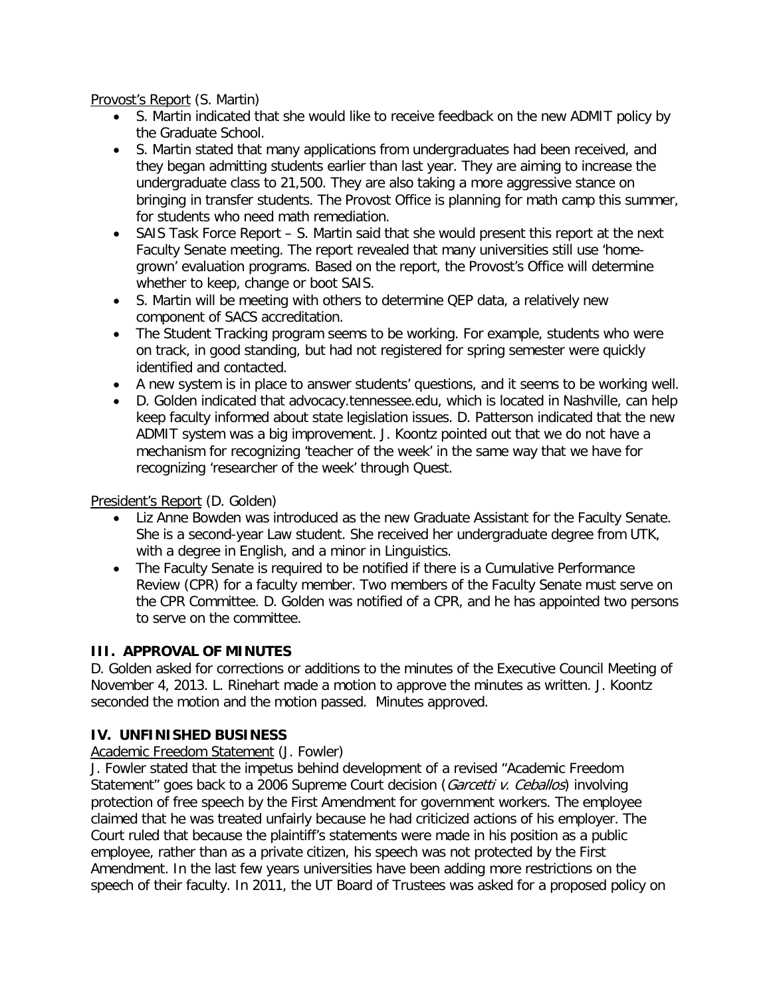Provost's Report (S. Martin)

- S. Martin indicated that she would like to receive feedback on the new ADMIT policy by the Graduate School.
- S. Martin stated that many applications from undergraduates had been received, and they began admitting students earlier than last year. They are aiming to increase the undergraduate class to 21,500. They are also taking a more aggressive stance on bringing in transfer students. The Provost Office is planning for math camp this summer, for students who need math remediation.
- SAIS Task Force Report S. Martin said that she would present this report at the next Faculty Senate meeting. The report revealed that many universities still use 'homegrown' evaluation programs. Based on the report, the Provost's Office will determine whether to keep, change or boot SAIS.
- S. Martin will be meeting with others to determine QEP data, a relatively new component of SACS accreditation.
- The Student Tracking program seems to be working. For example, students who were on track, in good standing, but had not registered for spring semester were quickly identified and contacted.
- A new system is in place to answer students' questions, and it seems to be working well.
- D. Golden indicated that advocacy.tennessee.edu, which is located in Nashville, can help keep faculty informed about state legislation issues. D. Patterson indicated that the new ADMIT system was a big improvement. J. Koontz pointed out that we do not have a mechanism for recognizing 'teacher of the week' in the same way that we have for recognizing 'researcher of the week' through Quest.

President's Report (D. Golden)

- Liz Anne Bowden was introduced as the new Graduate Assistant for the Faculty Senate. She is a second-year Law student. She received her undergraduate degree from UTK, with a degree in English, and a minor in Linguistics.
- The Faculty Senate is required to be notified if there is a Cumulative Performance Review (CPR) for a faculty member. Two members of the Faculty Senate must serve on the CPR Committee. D. Golden was notified of a CPR, and he has appointed two persons to serve on the committee.

# **III. APPROVAL OF MINUTES**

D. Golden asked for corrections or additions to the minutes of the Executive Council Meeting of November 4, 2013. L. Rinehart made a motion to approve the minutes as written. J. Koontz seconded the motion and the motion passed. Minutes approved.

# **IV. UNFINISHED BUSINESS**

# Academic Freedom Statement (J. Fowler)

J. Fowler stated that the impetus behind development of a revised "Academic Freedom Statement" goes back to a 2006 Supreme Court decision (*Garcetti v. Ceballos*) involving protection of free speech by the First Amendment for government workers. The employee claimed that he was treated unfairly because he had criticized actions of his employer. The Court ruled that because the plaintiff's statements were made in his position as a public employee, rather than as a private citizen, his speech was not protected by the First Amendment. In the last few years universities have been adding more restrictions on the speech of their faculty. In 2011, the UT Board of Trustees was asked for a proposed policy on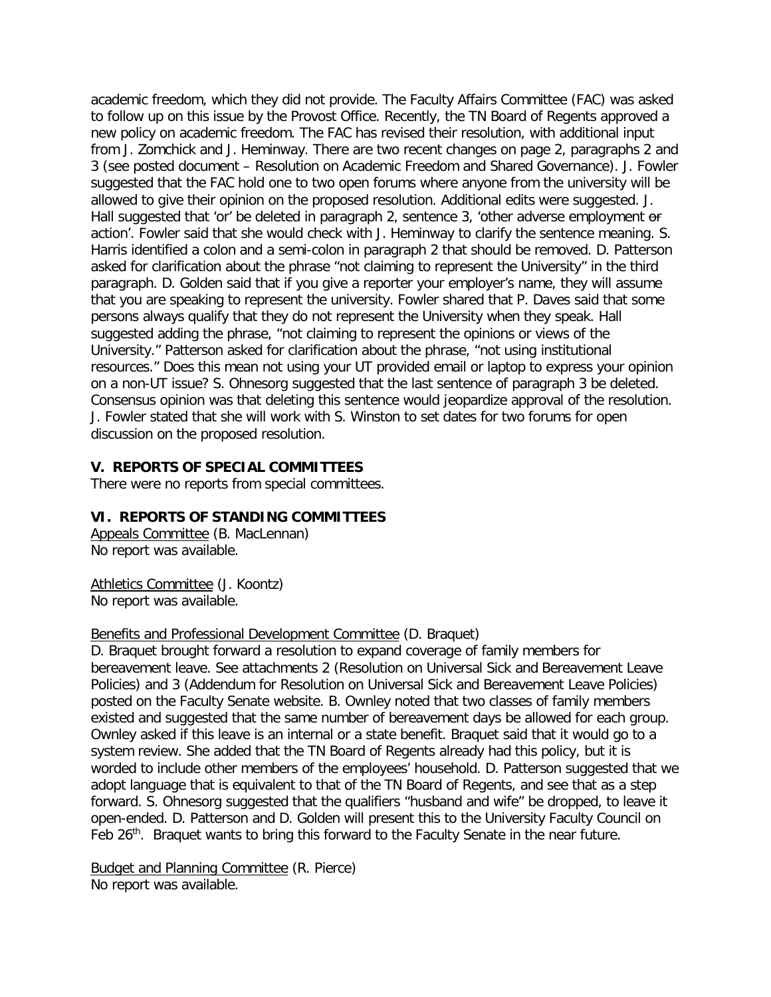academic freedom, which they did not provide. The Faculty Affairs Committee (FAC) was asked to follow up on this issue by the Provost Office. Recently, the TN Board of Regents approved a new policy on academic freedom. The FAC has revised their resolution, with additional input from J. Zomchick and J. Heminway. There are two recent changes on page 2, paragraphs 2 and 3 (see posted document – Resolution on Academic Freedom and Shared Governance). J. Fowler suggested that the FAC hold one to two open forums where anyone from the university will be allowed to give their opinion on the proposed resolution. Additional edits were suggested. J. Hall suggested that 'or' be deleted in paragraph 2, sentence 3, 'other adverse employment or action'. Fowler said that she would check with J. Heminway to clarify the sentence meaning. S. Harris identified a colon and a semi-colon in paragraph 2 that should be removed. D. Patterson asked for clarification about the phrase "not claiming to represent the University" in the third paragraph. D. Golden said that if you give a reporter your employer's name, they will assume that you are speaking to represent the university. Fowler shared that P. Daves said that some persons always qualify that they do not represent the University when they speak. Hall suggested adding the phrase, "not claiming to represent the opinions or views of the University." Patterson asked for clarification about the phrase, "not using institutional resources." Does this mean not using your UT provided email or laptop to express your opinion on a non-UT issue? S. Ohnesorg suggested that the last sentence of paragraph 3 be deleted. Consensus opinion was that deleting this sentence would jeopardize approval of the resolution. J. Fowler stated that she will work with S. Winston to set dates for two forums for open discussion on the proposed resolution.

#### **V. REPORTS OF SPECIAL COMMITTEES**

There were no reports from special committees.

#### **VI. REPORTS OF STANDING COMMITTEES**

Appeals Committee (B. MacLennan) No report was available.

Athletics Committee (J. Koontz) No report was available.

Benefits and Professional Development Committee (D. Braquet)

D. Braquet brought forward a resolution to expand coverage of family members for bereavement leave. See attachments 2 (Resolution on Universal Sick and Bereavement Leave Policies) and 3 (Addendum for Resolution on Universal Sick and Bereavement Leave Policies) posted on the Faculty Senate website. B. Ownley noted that two classes of family members existed and suggested that the same number of bereavement days be allowed for each group. Ownley asked if this leave is an internal or a state benefit. Braquet said that it would go to a system review. She added that the TN Board of Regents already had this policy, but it is worded to include other members of the employees' household. D. Patterson suggested that we adopt language that is equivalent to that of the TN Board of Regents, and see that as a step forward. S. Ohnesorg suggested that the qualifiers "husband and wife" be dropped, to leave it open-ended. D. Patterson and D. Golden will present this to the University Faculty Council on Feb 26<sup>th</sup>. Braquet wants to bring this forward to the Faculty Senate in the near future.

Budget and Planning Committee (R. Pierce) No report was available.